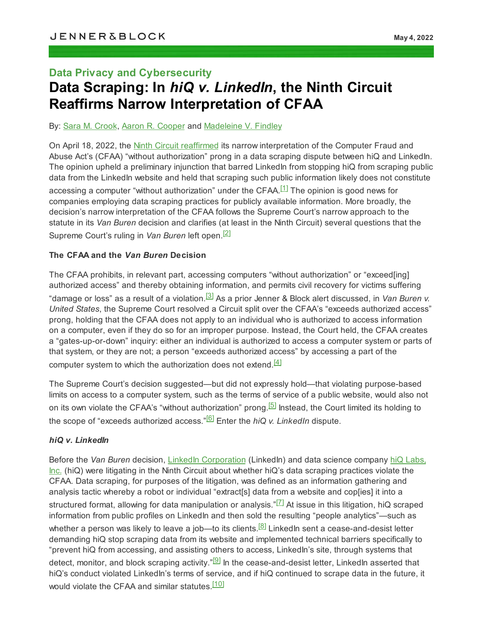# **Data Privacy and Cybersecurity Data Scraping: In** *hiQ v. LinkedIn***, the Ninth Circuit Reaffirms Narrow Interpretation of CFAA**

By: Sara M. [Crook](https://jenner.com/people/SaraCrook), Aaron R. [Cooper](https://jenner.com/people/AaronCooper) and [Madeleine](https://jenner.com/people/MadeleineFindley) V. Findley

<span id="page-0-0"></span>On April 18, 2022, the Ninth Circuit [reaffirmed](https://cdn.ca9.uscourts.gov/datastore/opinions/2022/04/18/17-16783.pdf) its narrow interpretation of the Computer Fraud and Abuse Act's (CFAA) "without authorization" prong in a data scraping dispute between hiQ and LinkedIn. The opinion upheld a preliminary injunction that barred LinkedIn from stopping hiQ from scraping public data from the LinkedIn website and held that scraping such public information likely does not constitute accessing a computer "without authorization" under the CFAA.<sup>[\[1\]](#page-3-0)</sup> The opinion is good news for companies employing data scraping practices for publicly available information. More broadly, the decision's narrow interpretation of the CFAA follows the Supreme Court's narrow approach to the statute in its *Van Buren* decision and clarifies (at least in the Ninth Circuit) several questions that the Supreme Court's ruling in *Van Buren* left open. [\[2\]](#page-3-1)

#### <span id="page-0-1"></span>**The CFAA and the** *Van Buren* **Decision**

<span id="page-0-2"></span>The CFAA prohibits, in relevant part, accessing computers "without authorization" or "exceed[ing] authorized access" and thereby obtaining information, and permits civil recovery for victims suffering "damage or loss" as a result of a violation. [\[3\]](#page-3-2) As a prior Jenner & Block alert discussed, in *Van Buren v. United States*, the Supreme Court resolved a Circuit split over the CFAA's "exceeds authorized access" prong, holding that the CFAA does not apply to an individual who is authorized to access information on a computer, even if they do so for an improper purpose. Instead, the Court held, the CFAA creates a "gates-up-or-down" inquiry: either an individual is authorized to access a computer system or parts of that system, or they are not; a person "exceeds authorized access" by accessing a part of the computer system to which the authorization does not extend. $^{[4]}$  $^{[4]}$  $^{[4]}$ 

<span id="page-0-4"></span><span id="page-0-3"></span>The Supreme Court's decision suggested—but did not expressly hold—that violating purpose-based limits on access to a computer system, such as the terms of service of a public website, would also not on its own violate the CFAA's "without authorization" prong.<sup>[\[5\]](#page-3-4)</sup> Instead, the Court limited its holding to the scope of "exceeds authorized access." [\[6\]](#page-3-5) Enter the *hiQ v. LinkedIn* dispute.

### <span id="page-0-5"></span>*hiQ v. LinkedIn*

<span id="page-0-9"></span><span id="page-0-8"></span><span id="page-0-7"></span><span id="page-0-6"></span>Before the *Van Buren* decision, LinkedIn [Corporation](https://www.linkedin.com/feed/) (LinkedIn) and data science company hiQ [Labs,](https://www.hiqlabs.com/) [Inc.](https://www.hiqlabs.com/) (hiQ) were litigating in the Ninth Circuit about whether hiQ's data scraping practices violate the CFAA. Data scraping, for purposes of the litigation, was defined as an information gathering and analysis tactic whereby a robot or individual "extract[s] data from a website and cop[ies] it into a structured format, allowing for data manipulation or analysis." $^{\not\hspace{0.15cm}[\iota]}$  At issue in this litigation, hiQ scraped information from public profiles on LinkedIn and then sold the resulting "people analytics"—such as whether a person was likely to leave a job—to its clients.<sup>[\[8\]](#page-3-7)</sup> LinkedIn sent a cease-and-desist letter demanding hiQ stop scraping data from its website and implemented technical barriers specifically to "prevent hiQ from accessing, and assisting others to access, LinkedIn's site, through systems that detect, monitor, and block scraping activity." $\stackrel{[9]}{\equiv}$  $\stackrel{[9]}{\equiv}$  $\stackrel{[9]}{\equiv}$  In the cease-and-desist letter, LinkedIn asserted that hiQ's conduct violated LinkedIn's terms of service, and if hiQ continued to scrape data in the future, it would violate the CFAA and similar statutes.<sup>[\[10\]](#page-3-9)</sup>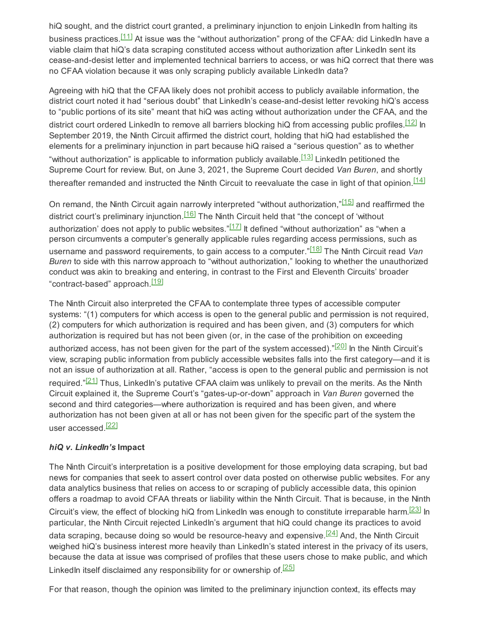<span id="page-1-0"></span>hiQ sought, and the district court granted, a preliminary injunction to enjoin LinkedIn from halting its business practices.<sup>[<u>11</u>]</sup> At issue was the "without authorization" prong of the CFAA: did LinkedIn have a viable claim that hiQ's data scraping constituted access without authorization after LinkedIn sent its cease-and-desist letter and implemented technical barriers to access, or was hiQ correct that there was no CFAA violation because it was only scraping publicly available LinkedIn data?

<span id="page-1-1"></span>Agreeing with hiQ that the CFAA likely does not prohibit access to publicly available information, the district court noted it had "serious doubt" that LinkedIn's cease-and-desist letter revoking hiQ's access to "public portions of its site" meant that hiQ was acting without authorization under the CFAA, and the district court ordered LinkedIn to remove all barriers blocking hiQ from accessing public profiles.<sup>[\[12\]](#page-3-11)</sup> In September 2019, the Ninth Circuit affirmed the district court, holding that hiQ had established the elements for a preliminary injunction in part because hiQ raised a "serious question" as to whether "without authorization" is applicable to information publicly available. $^{\left[ 13\right] }$  LinkedIn petitioned the Supreme Court for review. But, on June 3, 2021, the Supreme Court decided *Van Buren*, and shortly thereafter remanded and instructed the Ninth Circuit to reevaluate the case in light of that opinion. $^{\left[ 14\right] }$ 

<span id="page-1-7"></span><span id="page-1-6"></span><span id="page-1-5"></span><span id="page-1-4"></span><span id="page-1-3"></span><span id="page-1-2"></span>On remand, the Ninth Circuit again narrowly interpreted "without authorization," $^{[15]}$  $^{[15]}$  $^{[15]}$  and reaffirmed the district court's preliminary injunction.<sup>[\[16\]](#page-4-1)</sup> The Ninth Circuit held that "the concept of 'without authorization' does not apply to public websites." $^{[17]}$  $^{[17]}$  $^{[17]}$  It defined "without authorization" as "when a person circumvents a computer's generally applicable rules regarding access permissions, such as username and password requirements, to gain access to a computer." [\[18\]](#page-4-3) The Ninth Circuit read *Van Buren* to side with this narrow approach to "without authorization," looking to whether the unauthorized conduct was akin to breaking and entering, in contrast to the First and Eleventh Circuits' broader "contract-based" approach.<sup>[\[19\]](#page-4-4)</sup>

<span id="page-1-9"></span><span id="page-1-8"></span>The Ninth Circuit also interpreted the CFAA to contemplate three types of accessible computer systems: "(1) computers for which access is open to the general public and permission is not required, (2) computers for which authorization is required and has been given, and (3) computers for which authorization is required but has not been given (or, in the case of the prohibition on exceeding authorized access, has not been given for the part of the system accessed)."<mark>[\[20\]](#page-4-5)</mark> In the Ninth Circuit's view, scraping public information from publicly accessible websites falls into the first category—and it is not an issue of authorization at all. Rather, "access is open to the general public and permission is not required."<sup>[<u>21</u>]</sup> Thus, LinkedIn's putative CFAA claim was unlikely to prevail on the merits. As the Ninth Circuit explained it, the Supreme Court's "gates-up-or-down" approach in *Van Buren* governed the second and third categories—where authorization is required and has been given, and where authorization has not been given at all or has not been given for the specific part of the system the user accessed.<sup>[\[22\]](#page-4-7)</sup>

### <span id="page-1-11"></span><span id="page-1-10"></span>*hiQ v. LinkedIn's* **Impact**

<span id="page-1-12"></span>The Ninth Circuit's interpretation is a positive development for those employing data scraping, but bad news for companies that seek to assert control over data posted on otherwise public websites. For any data analytics business that relies on access to or scraping of publicly accessible data, this opinion offers a roadmap to avoid CFAA threats or liability within the Ninth Circuit. That is because, in the Ninth Circuit's view, the effect of blocking hiQ from LinkedIn was enough to constitute irreparable harm.<sup>[\[23\]](#page-4-8)</sup> In particular, the Ninth Circuit rejected LinkedIn's argument that hiQ could change its practices to avoid data scraping, because doing so would be resource-heavy and expensive.<sup>[\[24\]](#page-4-9)</sup> And, the Ninth Circuit weighed hiQ's business interest more heavily than LinkedIn's stated interest in the privacy of its users, because the data at issue was comprised of profiles that these users chose to make public, and which LinkedIn itself disclaimed any responsibility for or ownership of. $^{[25]}$  $^{[25]}$  $^{[25]}$ 

<span id="page-1-14"></span><span id="page-1-13"></span>For that reason, though the opinion was limited to the preliminary injunction context, its effects may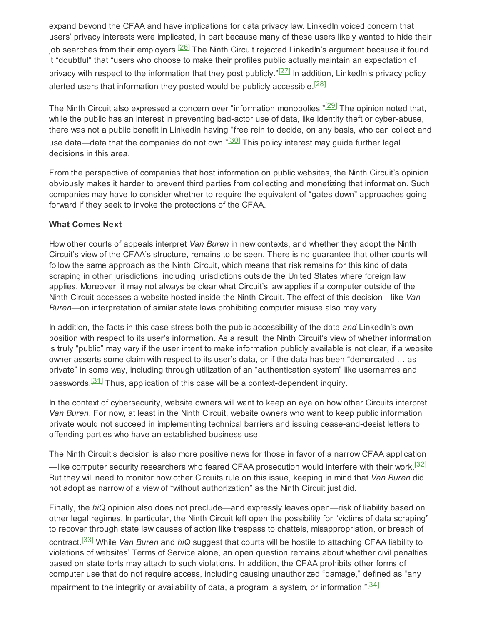<span id="page-2-0"></span>expand beyond the CFAA and have implications for data privacy law. LinkedIn voiced concern that users' privacy interests were implicated, in part because many of these users likely wanted to hide their job searches from their employers.<sup>[<u>26]</u> The Ninth Circuit rejected LinkedIn's argument because it found</sup> it "doubtful" that "users who choose to make their profiles public actually maintain an expectation of privacy with respect to the information that they post publicly."<sup>[\[27\]](#page-4-12)</sup> In addition, LinkedIn's privacy policy alerted users that information they posted would be publicly accessible.<sup>[\[28\]](#page-4-13)</sup>

<span id="page-2-4"></span><span id="page-2-3"></span><span id="page-2-2"></span><span id="page-2-1"></span>The Ninth Circuit also expressed a concern over "information monopolies." $^{[29]}$  $^{[29]}$  $^{[29]}$  The opinion noted that, while the public has an interest in preventing bad-actor use of data, like identity theft or cyber-abuse, there was not a public benefit in LinkedIn having "free rein to decide, on any basis, who can collect and use data—data that the companies do not own." $^{[30]}$  $^{[30]}$  $^{[30]}$  This policy interest may guide further legal decisions in this area.

From the perspective of companies that host information on public websites, the Ninth Circuit's opinion obviously makes it harder to prevent third parties from collecting and monetizing that information. Such companies may have to consider whether to require the equivalent of "gates down" approaches going forward if they seek to invoke the protections of the CFAA.

#### **What Comes Next**

How other courts of appeals interpret *Van Buren* in new contexts, and whether they adopt the Ninth Circuit's view of the CFAA's structure, remains to be seen. There is no guarantee that other courts will follow the same approach as the Ninth Circuit, which means that risk remains for this kind of data scraping in other jurisdictions, including jurisdictions outside the United States where foreign law applies. Moreover, it may not always be clear what Circuit's law applies if a computer outside of the Ninth Circuit accesses a website hosted inside the Ninth Circuit. The effect of this decision—like *Van Buren*—on interpretation of similar state laws prohibiting computer misuse also may vary.

In addition, the facts in this case stress both the public accessibility of the data *and* LinkedIn's own position with respect to its user's information. As a result, the Ninth Circuit's view of whether information is truly "public" may vary if the user intent to make information publicly available is not clear, if a website owner asserts some claim with respect to its user's data, or if the data has been "demarcated … as private" in some way, including through utilization of an "authentication system" like usernames and passwords.<sup>[\[31\]](#page-4-16)</sup> Thus, application of this case will be a context-dependent inquiry.

<span id="page-2-5"></span>In the context of cybersecurity, website owners will want to keep an eye on how other Circuits interpret *Van Buren*. For now, at least in the Ninth Circuit, website owners who want to keep public information private would not succeed in implementing technical barriers and issuing cease-and-desist letters to offending parties who have an established business use.

<span id="page-2-6"></span>The Ninth Circuit's decision is also more positive news for those in favor of a narrow CFAA application —like computer security researchers who feared CFAA prosecution would interfere with their work. $^{\text{[32]}}$  $^{\text{[32]}}$  $^{\text{[32]}}$ But they will need to monitor how other Circuits rule on this issue, keeping in mind that *Van Buren* did not adopt as narrow of a view of "without authorization" as the Ninth Circuit just did.

<span id="page-2-8"></span><span id="page-2-7"></span>Finally, the *hiQ* opinion also does not preclude—and expressly leaves open—risk of liability based on other legal regimes. In particular, the Ninth Circuit left open the possibility for "victims of data scraping" to recover through state law causes of action like trespass to chattels, misappropriation, or breach of contract. [\[33\]](#page-4-18) While *Van Buren* and *hiQ* suggest that courts will be hostile to attaching CFAA liability to violations of websites' Terms of Service alone, an open question remains about whether civil penalties based on state torts may attach to such violations. In addition, the CFAA prohibits other forms of computer use that do not require access, including causing unauthorized "damage," defined as "any impairment to the integrity or availability of data, a program, a system, or information."<mark> $\left[ \frac{34}{4} \right]$ </mark>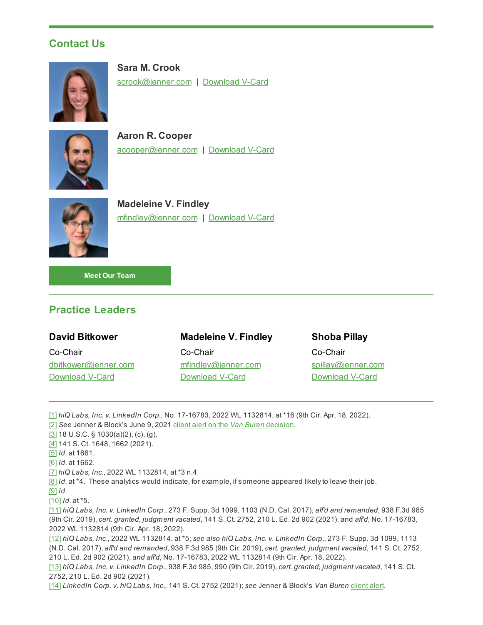## **Contact Us**



**Sara M. Crook** [scrook@jenner.com](mailto:scrook@jenner.com) | [Download](https://jenner.com/people/1222/vcard) V-Card



**Aaron R. Cooper** [acooper@jenner.com](mailto:acooper@jenner.com) | [Download](https://jenner.com/people/1198/vcard) V-Card



**Madeleine V. Findley** [mfindley@jenner.com](mailto:mfindley@jenner.com) | [Download](https://jenner.com/people/1242/vcard) V-Card

**Meet Our [Team](https://jenner.com/practices/286/attorneys)**

# **Practice Leaders**

### **David Bitkower**

Co-Chair [dbitkower@jenner.com](mailto:dbitkower@jenner.com) [Download](https://jenner.com/people/969/vcard) V-Card

### **Madeleine V. Findley**

Co-Chair [mfindley@jenner.com](mailto:mfindley@jenner.com) [Download](https://jenner.com/people/1242/vcard) V-Card

### **Shoba Pillay**

Co-Chair [spillay@jenner.com](mailto:spillay@jenner.com) [Download](https://jenner.com/people/1251/vcard) V-Card

<span id="page-3-0"></span>[\[1\]](#page-0-0) *hiQ Labs, Inc. v. LinkedIn Corp.*, No. 17-16783, 2022 WL 1132814, at \*16 (9th Cir. Apr. 18, 2022).

<span id="page-3-1"></span>[\[2\]](#page-0-1) *See* Jenner & Block's June 9, 2021 client alert on the *Van Buren* [decision.](https://jenner.com/system/assets/publications/21022/original/SCOTUS_Limits_the_Reach_of_the_CFFA.pdf?1623261532)

<span id="page-3-2"></span>[\[3\]](#page-0-2) 18 U.S.C. § 1030(a)(2), (c), (g).

<span id="page-3-3"></span>[\[4\]](#page-0-3) 141 S. Ct. 1648, 1662 (2021).

<span id="page-3-4"></span>[\[5\]](#page-0-4) *Id*. at 1661.

<span id="page-3-5"></span>[\[6\]](#page-0-5) *Id*. at 1662.

<span id="page-3-6"></span>[\[7\]](#page-0-6) *hiQ Labs, Inc*., 2022 WL 1132814, at \*3 n.4

<span id="page-3-7"></span>[\[8\]](#page-0-7) *Id*. at \*4. These analytics would indicate, for example, if someone appeared likely to leave their job.

<span id="page-3-8"></span>[\[9\]](#page-0-8) *Id*.

<span id="page-3-9"></span>[\[10\]](#page-0-9) *Id*. at \*5.

<span id="page-3-10"></span>[\[11\]](#page-1-0) *hiQ Labs, Inc. v. LinkedIn Corp*., 273 F. Supp. 3d 1099, 1103 (N.D. Cal. 2017), *aff'd and remanded*, 938 F.3d 985 (9th Cir. 2019), *cert. granted, judgment vacated*, 141 S. Ct. 2752, 210 L. Ed. 2d 902 (2021), and *aff'd*, No. 17-16783, 2022 WL 1132814 (9th Cir. Apr. 18, 2022).

<span id="page-3-11"></span>[\[12\]](#page-1-1) *hiQ Labs, Inc*., 2022 WL 1132814, at \*5; *see also hiQ Labs, Inc. v. LinkedIn Corp*., 273 F. Supp. 3d 1099, 1113 (N.D. Cal. 2017), *aff'd and remanded*, 938 F.3d 985 (9th Cir. 2019), *cert. granted, judgment vacated*, 141 S. Ct. 2752, 210 L. Ed. 2d 902 (2021), *and aff'd*, No. 17-16783, 2022 WL 1132814 (9th Cir. Apr. 18, 2022).

<span id="page-3-12"></span>[\[13\]](#page-1-2) *hiQ Labs, Inc. v. LinkedIn Corp*., 938 F.3d 985, 990 (9th Cir. 2019), *cert. granted, judgment vacated*, 141 S. Ct. 2752, 210 L. Ed. 2d 902 (2021).

<span id="page-3-13"></span>[\[14\]](#page-1-3) *LinkedIn Corp. v. hiQ Labs, Inc*., 141 S. Ct. 2752 (2021); *see* Jenner & Block's *Van Buren* [client](https://jenner.com/system/assets/publications/21022/original/SCOTUS_Limits_the_Reach_of_the_CFFA.pdf?1623261532) alert.